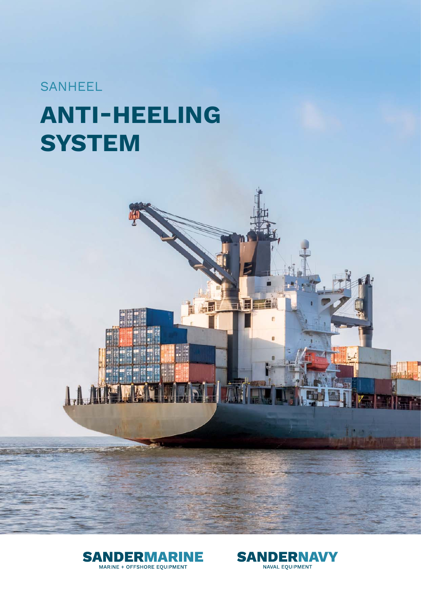# SANHEEL

# **ANTI-HEELING GYSTEM**





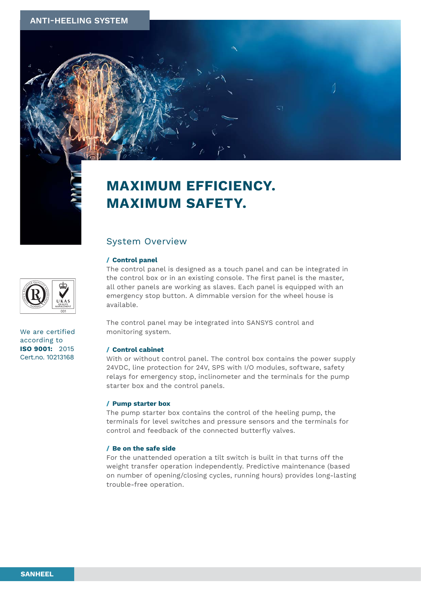



## System Overview

#### **/ Control panel**

The control panel is designed as a touch panel and can be integrated in the control box or in an existing console. The first panel is the master, all other panels are working as slaves. Each panel is equipped with an emergency stop button. A dimmable version for the wheel house is available.

The control panel may be integrated into SANSYS control and monitoring system.

#### **/ Control cabinet**

With or without control panel. The control box contains the power supply 24VDC, line protection for 24V, SPS with I/O modules, software, safety relays for emergency stop, inclinometer and the terminals for the pump starter box and the control panels.

#### **/ Pump starter box**

The pump starter box contains the control of the heeling pump, the terminals for level switches and pressure sensors and the terminals for control and feedback of the connected butterfly valves.

#### **/ Be on the safe side**

For the unattended operation a tilt switch is built in that turns off the weight transfer operation independently. Predictive maintenance (based on number of opening/closing cycles, running hours) provides long-lasting trouble-free operation.

We are certified according to **ISO 9001:** 2015 Cert.no. 10213168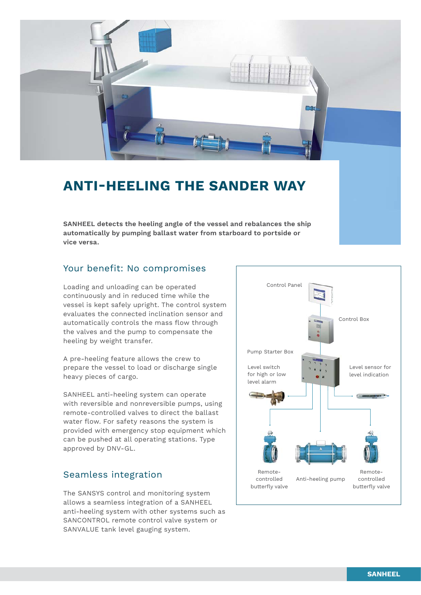

# **ANTI-HEELING THE SANDER WAY**

**SANHEEL detects the heeling angle of the vessel and rebalances the ship automatically by pumping ballast water from starboard to portside or vice versa.**

## Your benefit: No compromises

Loading and unloading can be operated continuously and in reduced time while the vessel is kept safely upright. The control system evaluates the connected inclination sensor and automatically controls the mass flow through the valves and the pump to compensate the heeling by weight transfer.

A pre-heeling feature allows the crew to prepare the vessel to load or discharge single heavy pieces of cargo.

SANHEEL anti-heeling system can operate with reversible and nonreversible pumps, using remote-controlled valves to direct the ballast water flow. For safety reasons the system is provided with emergency stop equipment which can be pushed at all operating stations. Type approved by DNV-GL.

## Seamless integration

The SANSYS control and monitoring system allows a seamless integration of a SANHEEL anti-heeling system with other systems such as SANCONTROL remote control valve system or SANVALUE tank level gauging system.